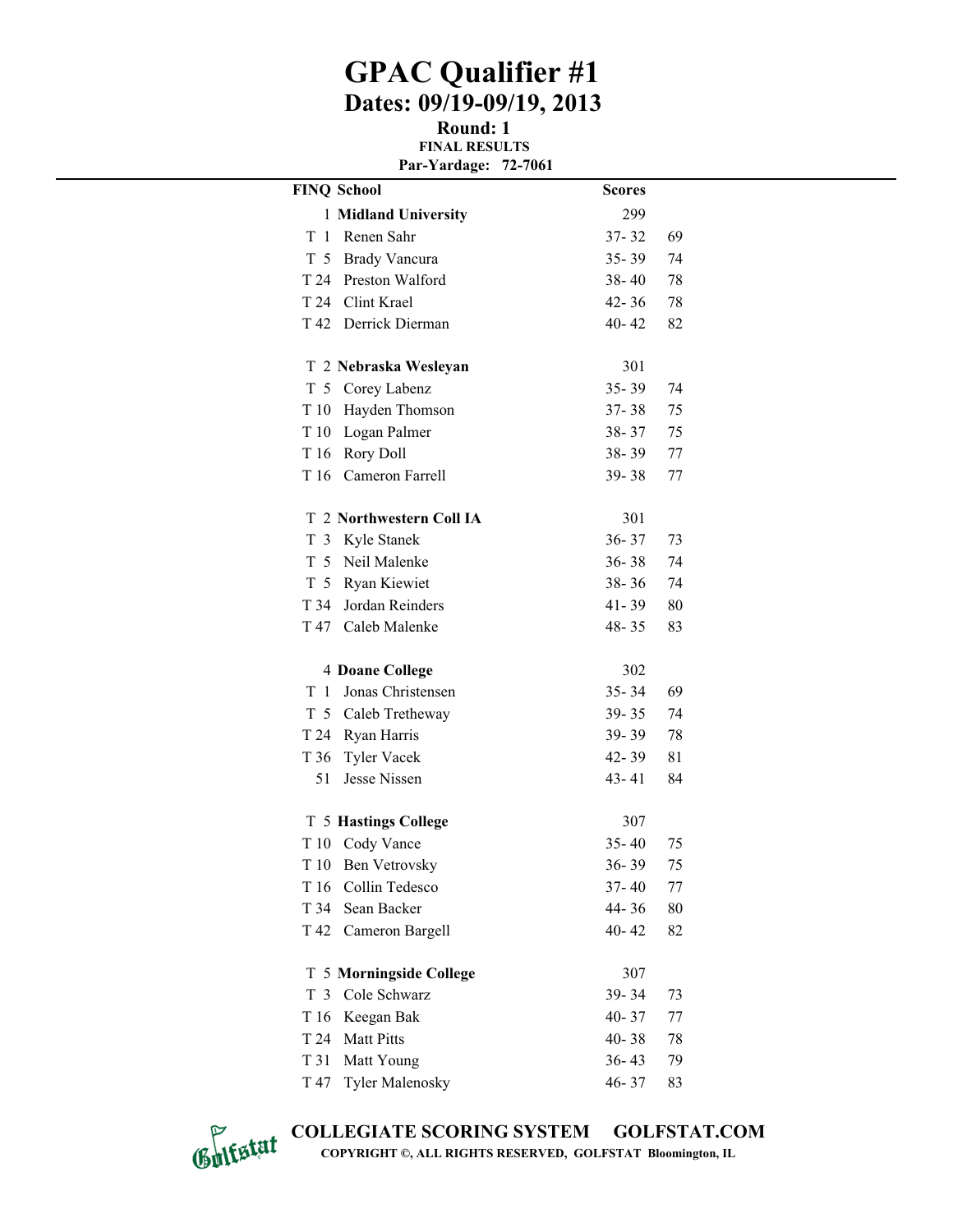## **GPAC Qualifier #1 Dates: 09/19-09/19, 2013**

**Round: 1 FINAL RESULTS Par-Yardage: 72-7061**

|                 | <b>FINQ School</b>          | <b>Scores</b> |    |
|-----------------|-----------------------------|---------------|----|
|                 | 1 Midland University        | 299           |    |
| T<br>-1         | Renen Sahr                  | $37 - 32$     | 69 |
|                 | T 5 Brady Vancura           | $35 - 39$     | 74 |
|                 | T 24 Preston Walford        | $38 - 40$     | 78 |
|                 | T 24 Clint Krael            | 42-36         | 78 |
|                 | T 42 Derrick Dierman        | $40 - 42$     | 82 |
|                 | T 2 Nebraska Wesleyan       | 301           |    |
|                 | T 5 Corey Labenz            | $35 - 39$     | 74 |
|                 | T 10 Hayden Thomson         | $37 - 38$     | 75 |
| T 10            | Logan Palmer                | 38-37         | 75 |
|                 | T 16 Rory Doll              | $38 - 39$     | 77 |
|                 | T 16 Cameron Farrell        | $39 - 38$     | 77 |
|                 | T 2 Northwestern Coll IA    | 301           |    |
| T               | 3 Kyle Stanek               | $36 - 37$     | 73 |
|                 | T 5 Neil Malenke            | $36 - 38$     | 74 |
|                 | T 5 Ryan Kiewiet            | $38 - 36$     | 74 |
|                 | T 34 Jordan Reinders        | $41 - 39$     | 80 |
| T 47            | Caleb Malenke               | 48-35         | 83 |
|                 | <b>4 Doane College</b>      | 302           |    |
| T<br>1          | Jonas Christensen           | $35 - 34$     | 69 |
|                 | T 5 Caleb Tretheway         | $39 - 35$     | 74 |
|                 | T 24 Ryan Harris            | $39 - 39$     | 78 |
| T 36            | <b>Tyler Vacek</b>          | $42 - 39$     | 81 |
| 51              | Jesse Nissen                | 43-41         | 84 |
|                 | <b>T 5 Hastings College</b> | 307           |    |
| T 10            | Cody Vance                  | $35 - 40$     | 75 |
| T 10            | <b>Ben Vetrovsky</b>        | $36 - 39$     | 75 |
| T <sub>16</sub> | Collin Tedesco              | $37 - 40$     | 77 |
| T 34            | Sean Backer                 | 44-36         | 80 |
| T 42            | Cameron Bargell             | 40-42         | 82 |
| T               | 5 Morningside College       | 307           |    |
| T 3             | Cole Schwarz                | 39-34         | 73 |
| T 16            | Keegan Bak                  | 40-37         | 77 |
| T 24            | <b>Matt Pitts</b>           | 40-38         | 78 |
| T 31            | Matt Young                  | $36 - 43$     | 79 |
| T 47            | <b>Tyler Malenosky</b>      | 46-37         | 83 |



**COLLEGIATE SCORING SYSTEM GOLFSTAT.COM COPYRIGHT ©, ALL RIGHTS RESERVED, GOLFSTAT Bloomington, IL**